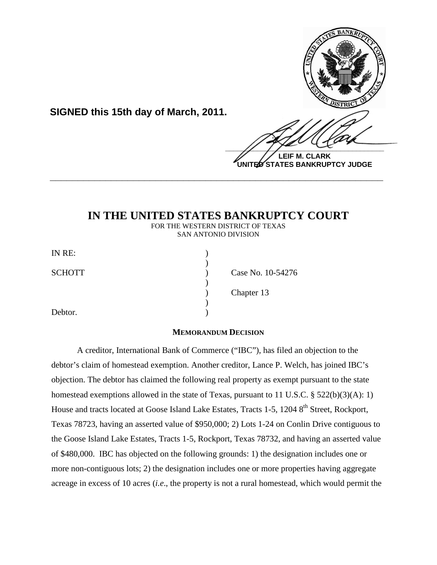

**UNITED STATES BANKRUPTCY JUDGE**

## **IN THE UNITED STATES BANKRUPTCY COURT**

**\_\_\_\_\_\_\_\_\_\_\_\_\_\_\_\_\_\_\_\_\_\_\_\_\_\_\_\_\_\_\_\_\_\_\_\_\_\_\_\_\_\_\_\_\_\_\_\_\_\_\_\_\_\_\_\_\_\_\_\_**

FOR THE WESTERN DISTRICT OF TEXAS SAN ANTONIO DIVISION

| IN RE:        |                   |
|---------------|-------------------|
|               |                   |
| <b>SCHOTT</b> | Case No. 10-54276 |
|               |                   |
|               | Chapter 13        |
|               |                   |
| Debtor.       |                   |

**SIGNED this 15th day of March, 2011.**

## **MEMORANDUM DECISION**

A creditor, International Bank of Commerce ("IBC"), has filed an objection to the debtor's claim of homestead exemption. Another creditor, Lance P. Welch, has joined IBC's objection. The debtor has claimed the following real property as exempt pursuant to the state homestead exemptions allowed in the state of Texas, pursuant to 11 U.S.C. § 522(b)(3)(A): 1) House and tracts located at Goose Island Lake Estates, Tracts 1-5, 1204 8<sup>th</sup> Street, Rockport, Texas 78723, having an asserted value of \$950,000; 2) Lots 1-24 on Conlin Drive contiguous to the Goose Island Lake Estates, Tracts 1-5, Rockport, Texas 78732, and having an asserted value of \$480,000. IBC has objected on the following grounds: 1) the designation includes one or more non-contiguous lots; 2) the designation includes one or more properties having aggregate acreage in excess of 10 acres (*i.e*., the property is not a rural homestead, which would permit the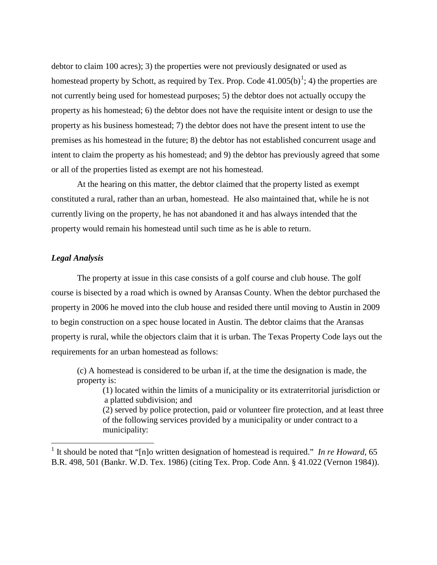debtor to claim 100 acres); 3) the properties were not previously designated or used as homestead property by Schott, as required by Tex. Prop. Code  $41.005(b)^1$  $41.005(b)^1$  $41.005(b)^1$ ; 4) the properties are not currently being used for homestead purposes; 5) the debtor does not actually occupy the property as his homestead; 6) the debtor does not have the requisite intent or design to use the property as his business homestead; 7) the debtor does not have the present intent to use the premises as his homestead in the future; 8) the debtor has not established concurrent usage and intent to claim the property as his homestead; and 9) the debtor has previously agreed that some or all of the properties listed as exempt are not his homestead.

At the hearing on this matter, the debtor claimed that the property listed as exempt constituted a rural, rather than an urban, homestead. He also maintained that, while he is not currently living on the property, he has not abandoned it and has always intended that the property would remain his homestead until such time as he is able to return.

## *Legal Analysis*

The property at issue in this case consists of a golf course and club house. The golf course is bisected by a road which is owned by Aransas County. When the debtor purchased the property in 2006 he moved into the club house and resided there until moving to Austin in 2009 to begin construction on a spec house located in Austin. The debtor claims that the Aransas property is rural, while the objectors claim that it is urban. The Texas Property Code lays out the requirements for an urban homestead as follows:

(c) A homestead is considered to be urban if, at the time the designation is made, the property is:

 (1) located within the limits of a municipality or its extraterritorial jurisdiction or a platted subdivision; and

(2) served by police protection, paid or volunteer fire protection, and at least three of the following services provided by a municipality or under contract to a municipality:

<span id="page-1-0"></span><sup>&</sup>lt;sup>1</sup> It should be noted that "Inlo written designation of homestead is required." *In re Howard*, 65 B.R. 498, 501 (Bankr. W.D. Tex. 1986) (citing Tex. Prop. Code Ann. § 41.022 (Vernon 1984)).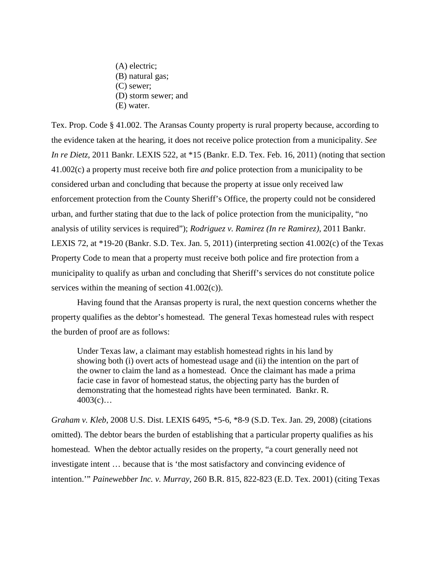- (A) electric; (B) natural gas; (C) sewer; (D) storm sewer; and
- (E) water.

Tex. Prop. Code § 41.002. The Aransas County property is rural property because, according to the evidence taken at the hearing, it does not receive police protection from a municipality. *See In re Dietz*, 2011 Bankr. LEXIS 522, at \*15 (Bankr. E.D. Tex. Feb. 16, 2011) (noting that section 41.002(c) a property must receive both fire *and* police protection from a municipality to be considered urban and concluding that because the property at issue only received law enforcement protection from the County Sheriff's Office, the property could not be considered urban, and further stating that due to the lack of police protection from the municipality, "no analysis of utility services is required"); *Rodriguez v. Ramirez (In re Ramirez)*, 2011 Bankr. LEXIS 72, at \*19-20 (Bankr. S.D. Tex. Jan. 5, 2011) (interpreting section 41.002(c) of the Texas Property Code to mean that a property must receive both police and fire protection from a municipality to qualify as urban and concluding that Sheriff's services do not constitute police services within the meaning of section 41.002(c)).

Having found that the Aransas property is rural, the next question concerns whether the property qualifies as the debtor's homestead. The general Texas homestead rules with respect the burden of proof are as follows:

Under Texas law, a claimant may establish homestead rights in his land by showing both (i) overt acts of homestead usage and (ii) the intention on the part of the owner to claim the land as a homestead. Once the claimant has made a prima facie case in favor of homestead status, the objecting party has the burden of demonstrating that the homestead rights have been terminated. Bankr. R.  $4003(c)...$ 

*Graham v. Kleb*, 2008 U.S. Dist. LEXIS 6495, \*5-6, \*8-9 (S.D. Tex. Jan. 29, 2008) (citations omitted). The debtor bears the burden of establishing that a particular property qualifies as his homestead. When the debtor actually resides on the property, "a court generally need not investigate intent … because that is 'the most satisfactory and convincing evidence of intention.'" *Painewebber Inc. v. Murray*, 260 B.R. 815, 822-823 (E.D. Tex. 2001) (citing Texas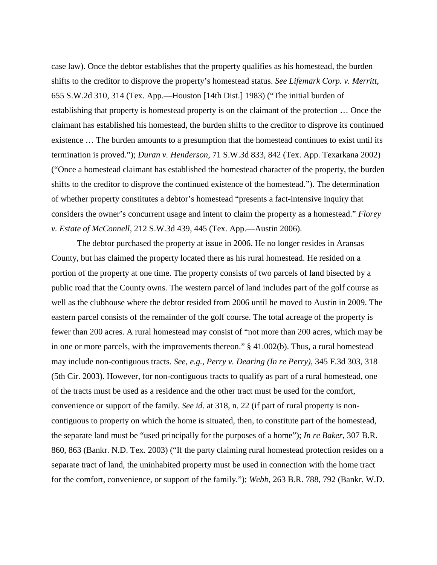case law). Once the debtor establishes that the property qualifies as his homestead, the burden shifts to the creditor to disprove the property's homestead status. *See Lifemark Corp. v. Merritt*, 655 S.W.2d 310, 314 (Tex. App.—Houston [14th Dist.] 1983) ("The initial burden of establishing that property is homestead property is on the claimant of the protection … Once the claimant has established his homestead, the burden shifts to the creditor to disprove its continued existence … The burden amounts to a presumption that the homestead continues to exist until its termination is proved."); *Duran v. Henderson*, 71 S.W.3d 833, 842 (Tex. App. Texarkana 2002) ("Once a homestead claimant has established the homestead character of the property, the burden shifts to the creditor to disprove the continued existence of the homestead."). The determination of whether property constitutes a debtor's homestead "presents a fact-intensive inquiry that considers the owner's concurrent usage and intent to claim the property as a homestead." *Florey v. Estate of McConnell*, 212 S.W.3d 439, 445 (Tex. App.—Austin 2006).

The debtor purchased the property at issue in 2006. He no longer resides in Aransas County, but has claimed the property located there as his rural homestead. He resided on a portion of the property at one time. The property consists of two parcels of land bisected by a public road that the County owns. The western parcel of land includes part of the golf course as well as the clubhouse where the debtor resided from 2006 until he moved to Austin in 2009. The eastern parcel consists of the remainder of the golf course. The total acreage of the property is fewer than 200 acres. A rural homestead may consist of "not more than 200 acres, which may be in one or more parcels, with the improvements thereon." § 41.002(b). Thus, a rural homestead may include non-contiguous tracts. *See, e.g., Perry v. Dearing (In re Perry)*, 345 F.3d 303, 318 (5th Cir. 2003). However, for non-contiguous tracts to qualify as part of a rural homestead, one of the tracts must be used as a residence and the other tract must be used for the comfort, convenience or support of the family. *See id*. at 318, n. 22 (if part of rural property is noncontiguous to property on which the home is situated, then, to constitute part of the homestead, the separate land must be "used principally for the purposes of a home"); *In re Baker*, 307 B.R. 860, 863 (Bankr. N.D. Tex. 2003) ("If the party claiming rural homestead protection resides on a separate tract of land, the uninhabited property must be used in connection with the home tract for the comfort, convenience, or support of the family."); *Webb,* 263 B.R. 788, 792 (Bankr. W.D.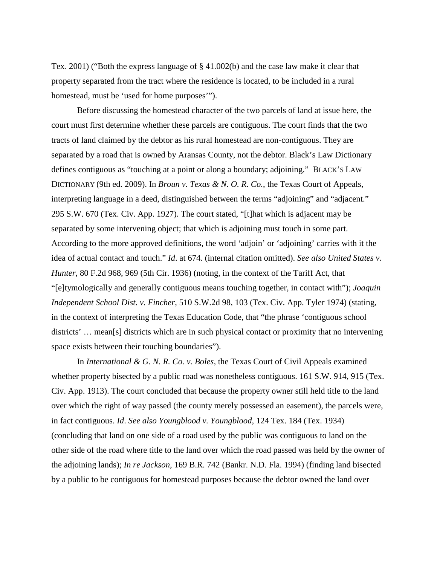Tex. 2001) ("Both the express language of § 41.002(b) and the case law make it clear that property separated from the tract where the residence is located, to be included in a rural homestead, must be 'used for home purposes'").

Before discussing the homestead character of the two parcels of land at issue here, the court must first determine whether these parcels are contiguous. The court finds that the two tracts of land claimed by the debtor as his rural homestead are non-contiguous. They are separated by a road that is owned by Aransas County, not the debtor. Black's Law Dictionary defines contiguous as "touching at a point or along a boundary; adjoining." BLACK'S LAW DICTIONARY (9th ed. 2009). In *Broun v. Texas & N. O. R. Co.*, the Texas Court of Appeals, interpreting language in a deed, distinguished between the terms "adjoining" and "adjacent." 295 S.W. 670 (Tex. Civ. App. 1927). The court stated, "[t]hat which is adjacent may be separated by some intervening object; that which is adjoining must touch in some part. According to the more approved definitions, the word 'adjoin' or 'adjoining' carries with it the idea of actual contact and touch." *Id*. at 674. (internal citation omitted). *See also United States v. Hunter*, 80 F.2d 968, 969 (5th Cir. 1936) (noting, in the context of the Tariff Act, that "[e]tymologically and generally contiguous means touching together, in contact with"); *Joaquin Independent School Dist. v. Fincher*, 510 S.W.2d 98, 103 (Tex. Civ. App. Tyler 1974) (stating, in the context of interpreting the Texas Education Code, that "the phrase 'contiguous school districts' … mean[s] districts which are in such physical contact or proximity that no intervening space exists between their touching boundaries").

In *International & G. N. R. Co. v. Boles*, the Texas Court of Civil Appeals examined whether property bisected by a public road was nonetheless contiguous. 161 S.W. 914, 915 (Tex. Civ. App. 1913). The court concluded that because the property owner still held title to the land over which the right of way passed (the county merely possessed an easement), the parcels were, in fact contiguous. *Id*. *See also Youngblood v. Youngblood*, 124 Tex. 184 (Tex. 1934) (concluding that land on one side of a road used by the public was contiguous to land on the other side of the road where title to the land over which the road passed was held by the owner of the adjoining lands); *In re Jackson*, 169 B.R. 742 (Bankr. N.D. Fla. 1994) (finding land bisected by a public to be contiguous for homestead purposes because the debtor owned the land over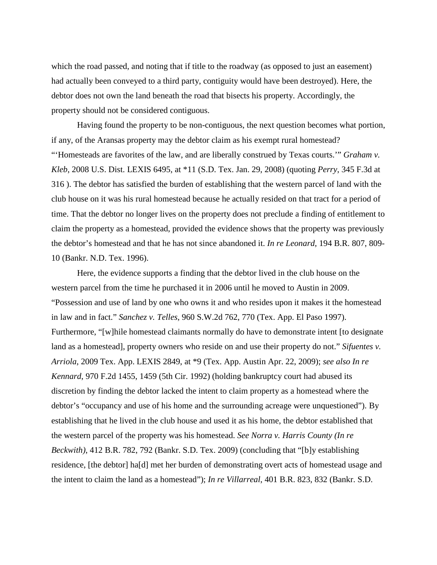which the road passed, and noting that if title to the roadway (as opposed to just an easement) had actually been conveyed to a third party, contiguity would have been destroyed). Here, the debtor does not own the land beneath the road that bisects his property. Accordingly, the property should not be considered contiguous.

Having found the property to be non-contiguous, the next question becomes what portion, if any, of the Aransas property may the debtor claim as his exempt rural homestead? "'Homesteads are favorites of the law, and are liberally construed by Texas courts.'" *Graham v. Kleb*, 2008 U.S. Dist. LEXIS 6495, at \*11 (S.D. Tex. Jan. 29, 2008) (quoting *Perry*, 345 F.3d at 316 ). The debtor has satisfied the burden of establishing that the western parcel of land with the club house on it was his rural homestead because he actually resided on that tract for a period of time. That the debtor no longer lives on the property does not preclude a finding of entitlement to claim the property as a homestead, provided the evidence shows that the property was previously the debtor's homestead and that he has not since abandoned it. *In re Leonard*, 194 B.R. 807, 809- 10 (Bankr. N.D. Tex. 1996).

Here, the evidence supports a finding that the debtor lived in the club house on the western parcel from the time he purchased it in 2006 until he moved to Austin in 2009. "Possession and use of land by one who owns it and who resides upon it makes it the homestead in law and in fact." *Sanchez v. Telles*, 960 S.W.2d 762, 770 (Tex. App. El Paso 1997). Furthermore, "[w]hile homestead claimants normally do have to demonstrate intent [to designate land as a homestead], property owners who reside on and use their property do not." *Sifuentes v. Arriola*, 2009 Tex. App. LEXIS 2849, at \*9 (Tex. App. Austin Apr. 22, 2009); *see also In re Kennard*, 970 F.2d 1455, 1459 (5th Cir. 1992) (holding bankruptcy court had abused its discretion by finding the debtor lacked the intent to claim property as a homestead where the debtor's "occupancy and use of his home and the surrounding acreage were unquestioned"). By establishing that he lived in the club house and used it as his home, the debtor established that the western parcel of the property was his homestead. *See Norra v. Harris County (In re Beckwith)*, 412 B.R. 782, 792 (Bankr. S.D. Tex. 2009) (concluding that "[b]y establishing residence, [the debtor] ha[d] met her burden of demonstrating overt acts of homestead usage and the intent to claim the land as a homestead"); *In re Villarreal*, 401 B.R. 823, 832 (Bankr. S.D.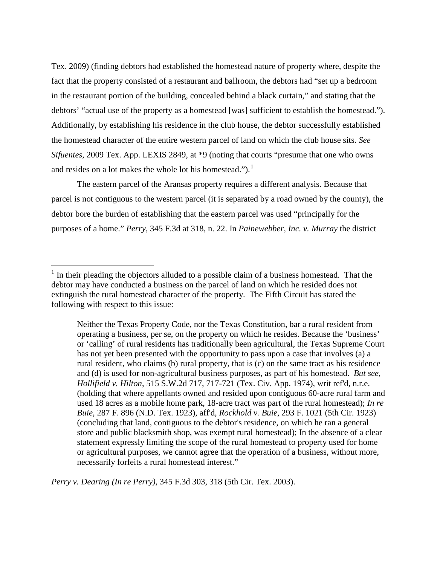Tex. 2009) (finding debtors had established the homestead nature of property where, despite the fact that the property consisted of a restaurant and ballroom, the debtors had "set up a bedroom in the restaurant portion of the building, concealed behind a black curtain," and stating that the debtors' "actual use of the property as a homestead [was] sufficient to establish the homestead."). Additionally, by establishing his residence in the club house, the debtor successfully established the homestead character of the entire western parcel of land on which the club house sits. *See Sifuentes*, 2009 Tex. App. LEXIS 2849, at \*9 (noting that courts "presume that one who owns and resides on a lot makes the whole lot his homestead.").<sup>[1](#page-6-0)</sup>

The eastern parcel of the Aransas property requires a different analysis. Because that parcel is not contiguous to the western parcel (it is separated by a road owned by the county), the debtor bore the burden of establishing that the eastern parcel was used "principally for the purposes of a home." *Perry*, 345 F.3d at 318, n. 22. In *Painewebber, Inc. v. Murray* the district

*Perry v. Dearing (In re Perry)*, 345 F.3d 303, 318 (5th Cir. Tex. 2003).

<span id="page-6-0"></span> $<sup>1</sup>$  In their pleading the objectors alluded to a possible claim of a business homestead. That the</sup> debtor may have conducted a business on the parcel of land on which he resided does not extinguish the rural homestead character of the property. The Fifth Circuit has stated the following with respect to this issue:

Neither the Texas Property Code, nor the Texas Constitution, bar a rural resident from operating a business, per se, on the property on which he resides. Because the 'business' or 'calling' of rural residents has traditionally been agricultural, the Texas Supreme Court has not yet been presented with the opportunity to pass upon a case that involves (a) a rural resident, who claims (b) rural property, that is (c) on the same tract as his residence and (d) is used for non-agricultural business purposes, as part of his homestead. *But see*, *Hollifield v. Hilton*, 515 S.W.2d 717, 717-721 (Tex. Civ. App. 1974), writ ref'd, n.r.e. (holding that where appellants owned and resided upon contiguous 60-acre rural farm and used 18 acres as a mobile home park, 18-acre tract was part of the rural homestead); *In re Buie*, 287 F. 896 (N.D. Tex. 1923), aff'd, *Rockhold v. Buie*, 293 F. 1021 (5th Cir. 1923) (concluding that land, contiguous to the debtor's residence, on which he ran a general store and public blacksmith shop, was exempt rural homestead); In the absence of a clear statement expressly limiting the scope of the rural homestead to property used for home or agricultural purposes, we cannot agree that the operation of a business, without more, necessarily forfeits a rural homestead interest."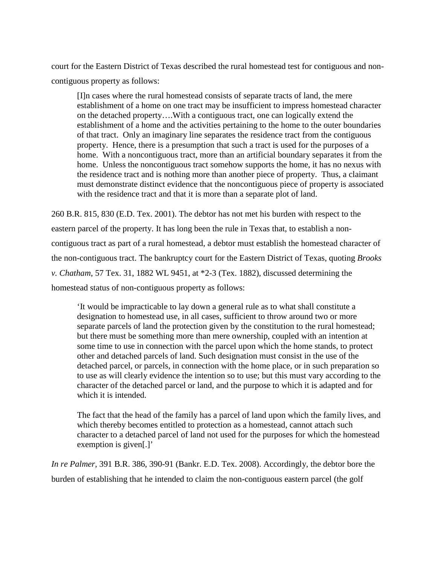court for the Eastern District of Texas described the rural homestead test for contiguous and noncontiguous property as follows:

[I]n cases where the rural homestead consists of separate tracts of land, the mere establishment of a home on one tract may be insufficient to impress homestead character on the detached property….With a contiguous tract, one can logically extend the establishment of a home and the activities pertaining to the home to the outer boundaries of that tract. Only an imaginary line separates the residence tract from the contiguous property. Hence, there is a presumption that such a tract is used for the purposes of a home. With a noncontiguous tract, more than an artificial boundary separates it from the home. Unless the noncontiguous tract somehow supports the home, it has no nexus with the residence tract and is nothing more than another piece of property. Thus, a claimant must demonstrate distinct evidence that the noncontiguous piece of property is associated with the residence tract and that it is more than a separate plot of land.

260 B.R. 815, 830 (E.D. Tex. 2001). The debtor has not met his burden with respect to the eastern parcel of the property. It has long been the rule in Texas that, to establish a noncontiguous tract as part of a rural homestead, a debtor must establish the homestead character of the non-contiguous tract. The bankruptcy court for the Eastern District of Texas, quoting *Brooks v. Chatham*, 57 Tex. 31, 1882 WL 9451, at \*2-3 (Tex. 1882), discussed determining the homestead status of non-contiguous property as follows:

'It would be impracticable to lay down a general rule as to what shall constitute a designation to homestead use, in all cases, sufficient to throw around two or more separate parcels of land the protection given by the constitution to the rural homestead; but there must be something more than mere ownership, coupled with an intention at some time to use in connection with the parcel upon which the home stands, to protect other and detached parcels of land. Such designation must consist in the use of the detached parcel, or parcels, in connection with the home place, or in such preparation so to use as will clearly evidence the intention so to use; but this must vary according to the character of the detached parcel or land, and the purpose to which it is adapted and for which it is intended.

The fact that the head of the family has a parcel of land upon which the family lives, and which thereby becomes entitled to protection as a homestead, cannot attach such character to a detached parcel of land not used for the purposes for which the homestead exemption is given[.]'

*In re Palmer*, 391 B.R. 386, 390-91 (Bankr. E.D. Tex. 2008). Accordingly, the debtor bore the burden of establishing that he intended to claim the non-contiguous eastern parcel (the golf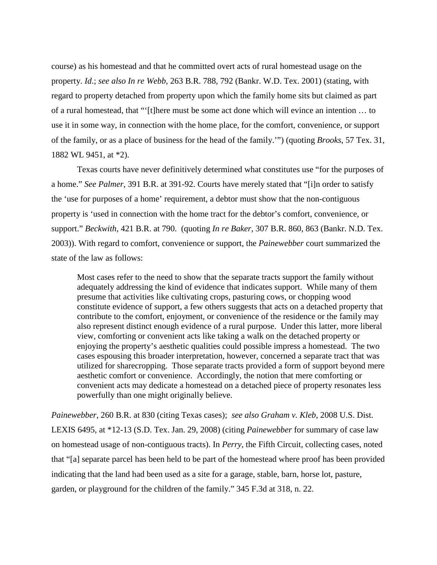course) as his homestead and that he committed overt acts of rural homestead usage on the property. *Id*.; *see also In re Webb*, 263 B.R. 788, 792 (Bankr. W.D. Tex. 2001) (stating, with regard to property detached from property upon which the family home sits but claimed as part of a rural homestead, that "'[t]here must be some act done which will evince an intention … to use it in some way, in connection with the home place, for the comfort, convenience, or support of the family, or as a place of business for the head of the family.'") (quoting *Brooks*, 57 Tex. 31, 1882 WL 9451, at \*2).

Texas courts have never definitively determined what constitutes use "for the purposes of a home." *See Palmer*, 391 B.R. at 391-92. Courts have merely stated that "[i]n order to satisfy the 'use for purposes of a home' requirement, a debtor must show that the non-contiguous property is 'used in connection with the home tract for the debtor's comfort, convenience, or support." *Beckwith*, 421 B.R. at 790. (quoting *In re Baker*, 307 B.R. 860, 863 (Bankr. N.D. Tex. 2003)). With regard to comfort, convenience or support, the *Painewebber* court summarized the state of the law as follows:

Most cases refer to the need to show that the separate tracts support the family without adequately addressing the kind of evidence that indicates support. While many of them presume that activities like cultivating crops, pasturing cows, or chopping wood constitute evidence of support, a few others suggests that acts on a detached property that contribute to the comfort, enjoyment, or convenience of the residence or the family may also represent distinct enough evidence of a rural purpose. Under this latter, more liberal view, comforting or convenient acts like taking a walk on the detached property or enjoying the property's aesthetic qualities could possible impress a homestead. The two cases espousing this broader interpretation, however, concerned a separate tract that was utilized for sharecropping. Those separate tracts provided a form of support beyond mere aesthetic comfort or convenience. Accordingly, the notion that mere comforting or convenient acts may dedicate a homestead on a detached piece of property resonates less powerfully than one might originally believe.

*Painewebber*, 260 B.R. at 830 (citing Texas cases); *see also Graham v. Kleb*, 2008 U.S. Dist. LEXIS 6495, at \*12-13 (S.D. Tex. Jan. 29, 2008) (citing *Painewebber* for summary of case law on homestead usage of non-contiguous tracts). In *Perry*, the Fifth Circuit, collecting cases, noted that "[a] separate parcel has been held to be part of the homestead where proof has been provided indicating that the land had been used as a site for a garage, stable, barn, horse lot, pasture, garden, or playground for the children of the family." 345 F.3d at 318, n. 22.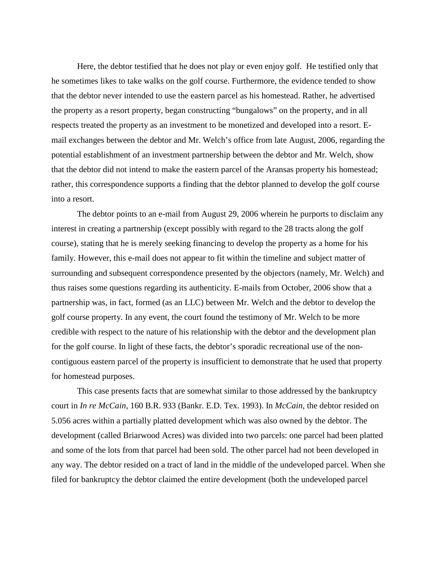Here, the debtor testified that he does not play or even enjoy golf. He testified only that he sometimes likes to take walks on the golf course. Furthermore, the evidence tended to show that the debtor never intended to use the eastern parcel as his homestead. Rather, he advertised the property as a resort property, began constructing "bungalows" on the property, and in all respects treated the property as an investment to be monetized and developed into a resort. Email exchanges between the debtor and Mr. Welch's office from late August, 2006, regarding the potential establishment of an investment partnership between the debtor and Mr. Welch, show that the debtor did not intend to make the eastern parcel of the Aransas property his homestead; rather, this correspondence supports a finding that the debtor planned to develop the golf course into a resort.

The debtor points to an e-mail from August 29, 2006 wherein he purports to disclaim any interest in creating a partnership (except possibly with regard to the 28 tracts along the golf course), stating that he is merely seeking financing to develop the property as a home for his family. However, this e-mail does not appear to fit within the timeline and subject matter of surrounding and subsequent correspondence presented by the objectors (namely, Mr. Welch) and thus raises some questions regarding its authenticity. E-mails from October, 2006 show that a partnership was, in fact, formed (as an LLC) between Mr. Welch and the debtor to develop the golf course property. In any event, the court found the testimony of Mr. Welch to be more credible with respect to the nature of his relationship with the debtor and the development plan for the golf course. In light of these facts, the debtor's sporadic recreational use of the noncontiguous eastern parcel of the property is insufficient to demonstrate that he used that property for homestead purposes.

This case presents facts that are somewhat similar to those addressed by the bankruptcy court in *In re McCain*, 160 B.R. 933 (Bankr. E.D. Tex. 1993). In *McCain*, the debtor resided on 5.056 acres within a partially platted development which was also owned by the debtor. The development (called Briarwood Acres) was divided into two parcels: one parcel had been platted and some of the lots from that parcel had been sold. The other parcel had not been developed in any way. The debtor resided on a tract of land in the middle of the undeveloped parcel. When she filed for bankruptcy the debtor claimed the entire development (both the undeveloped parcel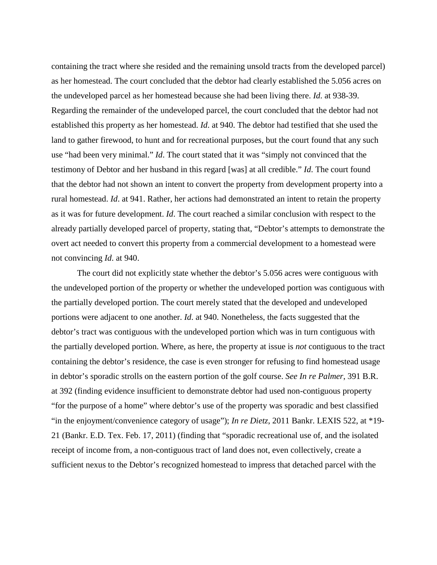containing the tract where she resided and the remaining unsold tracts from the developed parcel) as her homestead. The court concluded that the debtor had clearly established the 5.056 acres on the undeveloped parcel as her homestead because she had been living there. *Id*. at 938-39. Regarding the remainder of the undeveloped parcel, the court concluded that the debtor had not established this property as her homestead. *Id*. at 940. The debtor had testified that she used the land to gather firewood, to hunt and for recreational purposes, but the court found that any such use "had been very minimal." *Id*. The court stated that it was "simply not convinced that the testimony of Debtor and her husband in this regard [was] at all credible." *Id*. The court found that the debtor had not shown an intent to convert the property from development property into a rural homestead. *Id*. at 941. Rather, her actions had demonstrated an intent to retain the property as it was for future development. *Id*. The court reached a similar conclusion with respect to the already partially developed parcel of property, stating that, "Debtor's attempts to demonstrate the overt act needed to convert this property from a commercial development to a homestead were not convincing *Id*. at 940.

The court did not explicitly state whether the debtor's 5.056 acres were contiguous with the undeveloped portion of the property or whether the undeveloped portion was contiguous with the partially developed portion. The court merely stated that the developed and undeveloped portions were adjacent to one another. *Id*. at 940. Nonetheless, the facts suggested that the debtor's tract was contiguous with the undeveloped portion which was in turn contiguous with the partially developed portion. Where, as here, the property at issue is *not* contiguous to the tract containing the debtor's residence, the case is even stronger for refusing to find homestead usage in debtor's sporadic strolls on the eastern portion of the golf course. *See In re Palmer*, 391 B.R. at 392 (finding evidence insufficient to demonstrate debtor had used non-contiguous property "for the purpose of a home" where debtor's use of the property was sporadic and best classified "in the enjoyment/convenience category of usage"); *In re Dietz*, 2011 Bankr. LEXIS 522, at \*19- 21 (Bankr. E.D. Tex. Feb. 17, 2011) (finding that "sporadic recreational use of, and the isolated receipt of income from, a non-contiguous tract of land does not, even collectively, create a sufficient nexus to the Debtor's recognized homestead to impress that detached parcel with the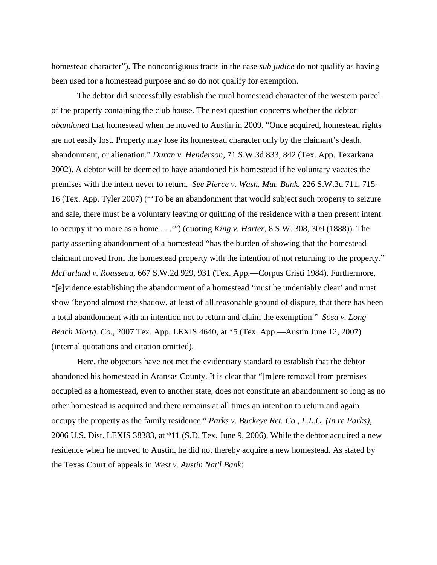homestead character"). The noncontiguous tracts in the case *sub judice* do not qualify as having been used for a homestead purpose and so do not qualify for exemption.

The debtor did successfully establish the rural homestead character of the western parcel of the property containing the club house. The next question concerns whether the debtor *abandoned* that homestead when he moved to Austin in 2009. "Once acquired, homestead rights are not easily lost. Property may lose its homestead character only by the claimant's death, abandonment, or alienation." *Duran v. Henderson*, 71 S.W.3d 833, 842 (Tex. App. Texarkana 2002). A debtor will be deemed to have abandoned his homestead if he voluntary vacates the premises with the intent never to return. *See Pierce v. Wash. Mut. Bank*, 226 S.W.3d 711, 715- 16 (Tex. App. Tyler 2007) ("'To be an abandonment that would subject such property to seizure and sale, there must be a voluntary leaving or quitting of the residence with a then present intent to occupy it no more as a home . . .'") (quoting *King v. Harter*, 8 S.W. 308, 309 (1888)). The party asserting abandonment of a homestead "has the burden of showing that the homestead claimant moved from the homestead property with the intention of not returning to the property." *McFarland v. Rousseau*, 667 S.W.2d 929, 931 (Tex. App.—Corpus Cristi 1984). Furthermore, "[e]vidence establishing the abandonment of a homestead 'must be undeniably clear' and must show 'beyond almost the shadow, at least of all reasonable ground of dispute, that there has been a total abandonment with an intention not to return and claim the exemption." *Sosa v. Long Beach Mortg. Co.*, 2007 Tex. App. LEXIS 4640, at \*5 (Tex. App.—Austin June 12, 2007) (internal quotations and citation omitted).

Here, the objectors have not met the evidentiary standard to establish that the debtor abandoned his homestead in Aransas County. It is clear that "[m]ere removal from premises occupied as a homestead, even to another state, does not constitute an abandonment so long as no other homestead is acquired and there remains at all times an intention to return and again occupy the property as the family residence." *Parks v. Buckeye Ret. Co., L.L.C. (In re Parks)*, 2006 U.S. Dist. LEXIS 38383, at \*11 (S.D. Tex. June 9, 2006). While the debtor acquired a new residence when he moved to Austin, he did not thereby acquire a new homestead. As stated by the Texas Court of appeals in *West v. Austin Nat'l Bank*: